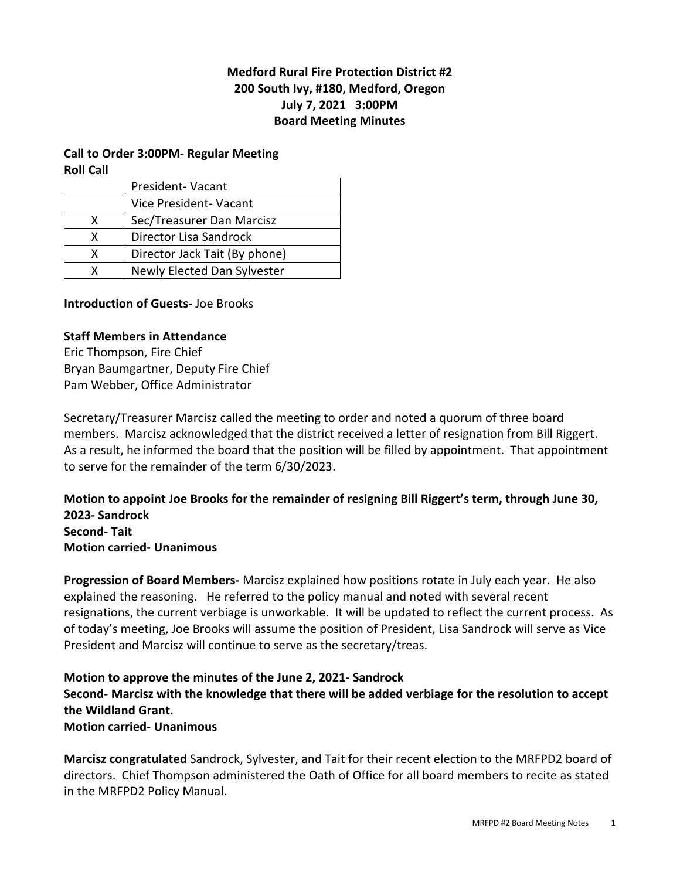## **Medford Rural Fire Protection District #2 200 South Ivy, #180, Medford, Oregon July 7, 2021 3:00PM Board Meeting Minutes**

#### **Call to Order 3:00PM- Regular Meeting Roll Call**

|   | President-Vacant              |  |  |  |  |
|---|-------------------------------|--|--|--|--|
|   | Vice President- Vacant        |  |  |  |  |
| x | Sec/Treasurer Dan Marcisz     |  |  |  |  |
| x | Director Lisa Sandrock        |  |  |  |  |
| x | Director Jack Tait (By phone) |  |  |  |  |
| χ | Newly Elected Dan Sylvester   |  |  |  |  |

## **Introduction of Guests-** Joe Brooks

## **Staff Members in Attendance**

Eric Thompson, Fire Chief Bryan Baumgartner, Deputy Fire Chief Pam Webber, Office Administrator

Secretary/Treasurer Marcisz called the meeting to order and noted a quorum of three board members. Marcisz acknowledged that the district received a letter of resignation from Bill Riggert. As a result, he informed the board that the position will be filled by appointment. That appointment to serve for the remainder of the term 6/30/2023.

**Motion to appoint Joe Brooks for the remainder of resigning Bill Riggert's term, through June 30, 2023- Sandrock Second- Tait Motion carried- Unanimous** 

**Progression of Board Members-** Marcisz explained how positions rotate in July each year. He also explained the reasoning. He referred to the policy manual and noted with several recent resignations, the current verbiage is unworkable. It will be updated to reflect the current process. As of today's meeting, Joe Brooks will assume the position of President, Lisa Sandrock will serve as Vice President and Marcisz will continue to serve as the secretary/treas.

**Motion to approve the minutes of the June 2, 2021- Sandrock Second- Marcisz with the knowledge that there will be added verbiage for the resolution to accept the Wildland Grant. Motion carried- Unanimous** 

**Marcisz congratulated** Sandrock, Sylvester, and Tait for their recent election to the MRFPD2 board of directors. Chief Thompson administered the Oath of Office for all board members to recite as stated in the MRFPD2 Policy Manual.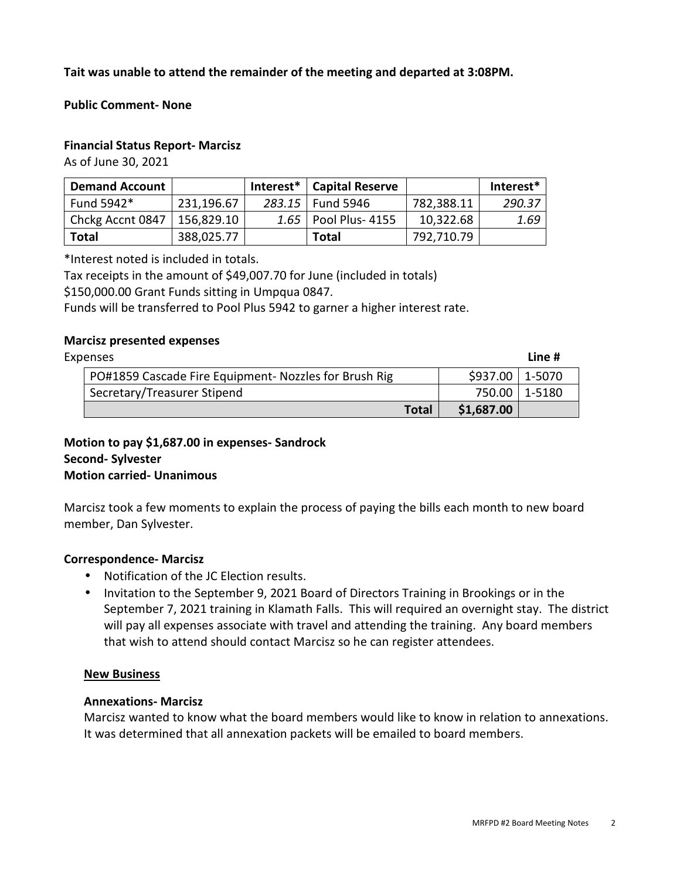## **Tait was unable to attend the remainder of the meeting and departed at 3:08PM.**

#### **Public Comment- None**

#### **Financial Status Report- Marcisz**

As of June 30, 2021

| <b>Demand Account</b> |            | Interest*   Capital Reserve |            | Interest* |
|-----------------------|------------|-----------------------------|------------|-----------|
| Fund 5942*            | 231,196.67 | 283.15   Fund 5946          | 782,388.11 | 290.37    |
| Chckg Accnt 0847      | 156,829.10 | 1.65   Pool Plus- 4155      | 10,322.68  | 1.69      |
| Total                 | 388,025.77 | <b>Total</b>                | 792,710.79 |           |

\*Interest noted is included in totals.

Tax receipts in the amount of \$49,007.70 for June (included in totals)

\$150,000.00 Grant Funds sitting in Umpqua 0847.

Funds will be transferred to Pool Plus 5942 to garner a higher interest rate.

#### **Marcisz presented expenses**

| Line #<br>Expenses |                                                       |                   |                 |
|--------------------|-------------------------------------------------------|-------------------|-----------------|
|                    | PO#1859 Cascade Fire Equipment- Nozzles for Brush Rig | \$937.00   1-5070 |                 |
|                    | Secretary/Treasurer Stipend                           |                   | 750.00   1-5180 |
|                    | <b>Total</b>                                          | \$1,687.00        |                 |

**Motion to pay \$1,687.00 in expenses- Sandrock Second- Sylvester Motion carried- Unanimous** 

Marcisz took a few moments to explain the process of paying the bills each month to new board member, Dan Sylvester.

#### **Correspondence- Marcisz**

- Notification of the JC Election results.
- Invitation to the September 9, 2021 Board of Directors Training in Brookings or in the September 7, 2021 training in Klamath Falls. This will required an overnight stay. The district will pay all expenses associate with travel and attending the training. Any board members that wish to attend should contact Marcisz so he can register attendees.

#### **New Business**

#### **Annexations- Marcisz**

Marcisz wanted to know what the board members would like to know in relation to annexations. It was determined that all annexation packets will be emailed to board members.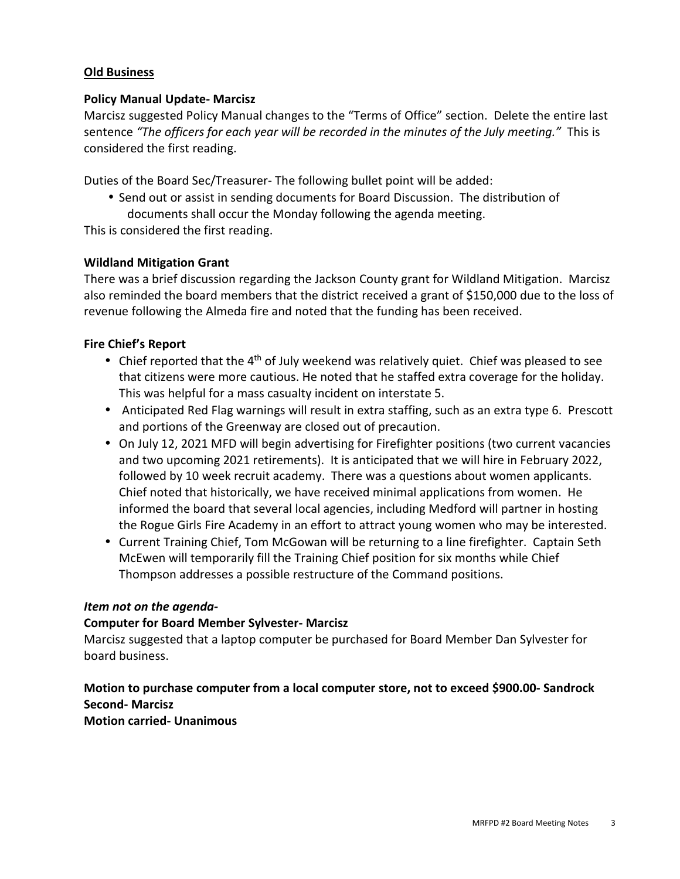## **Old Business**

#### **Policy Manual Update- Marcisz**

Marcisz suggested Policy Manual changes to the "Terms of Office" section. Delete the entire last sentence *"The officers for each year will be recorded in the minutes of the July meeting."* This is considered the first reading.

Duties of the Board Sec/Treasurer- The following bullet point will be added:

• Send out or assist in sending documents for Board Discussion. The distribution of documents shall occur the Monday following the agenda meeting.

This is considered the first reading.

## **Wildland Mitigation Grant**

There was a brief discussion regarding the Jackson County grant for Wildland Mitigation. Marcisz also reminded the board members that the district received a grant of \$150,000 due to the loss of revenue following the Almeda fire and noted that the funding has been received.

## **Fire Chief's Report**

- Chief reported that the  $4<sup>th</sup>$  of July weekend was relatively quiet. Chief was pleased to see that citizens were more cautious. He noted that he staffed extra coverage for the holiday. This was helpful for a mass casualty incident on interstate 5.
- Anticipated Red Flag warnings will result in extra staffing, such as an extra type 6. Prescott and portions of the Greenway are closed out of precaution.
- On July 12, 2021 MFD will begin advertising for Firefighter positions (two current vacancies and two upcoming 2021 retirements). It is anticipated that we will hire in February 2022, followed by 10 week recruit academy. There was a questions about women applicants. Chief noted that historically, we have received minimal applications from women. He informed the board that several local agencies, including Medford will partner in hosting the Rogue Girls Fire Academy in an effort to attract young women who may be interested.
- Current Training Chief, Tom McGowan will be returning to a line firefighter. Captain Seth McEwen will temporarily fill the Training Chief position for six months while Chief Thompson addresses a possible restructure of the Command positions.

#### *Item not on the agenda-*

#### **Computer for Board Member Sylvester- Marcisz**

Marcisz suggested that a laptop computer be purchased for Board Member Dan Sylvester for board business.

# **Motion to purchase computer from a local computer store, not to exceed \$900.00- Sandrock Second- Marcisz**

**Motion carried- Unanimous**